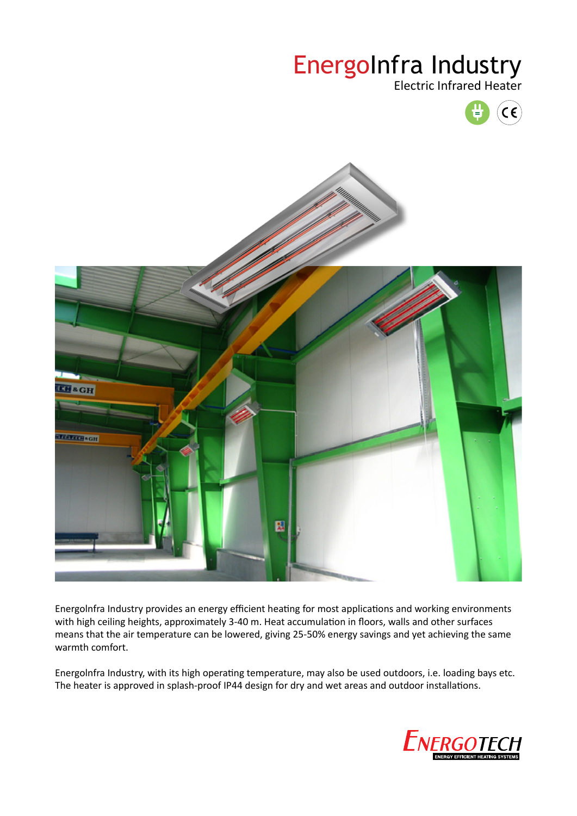# EnergoInfra Industry

Electric Infrared Heater





Energolnfra Industry provides an energy efficient heating for most applications and working environments with high ceiling heights, approximately 3-40 m. Heat accumulation in floors, walls and other surfaces means that the air temperature can be lowered, giving 25-50% energy savings and yet achieving the same warmth comfort.

Energolnfra Industry, with its high operating temperature, may also be used outdoors, i.e. loading bays etc. The heater is approved in splash-proof IP44 design for dry and wet areas and outdoor installations.